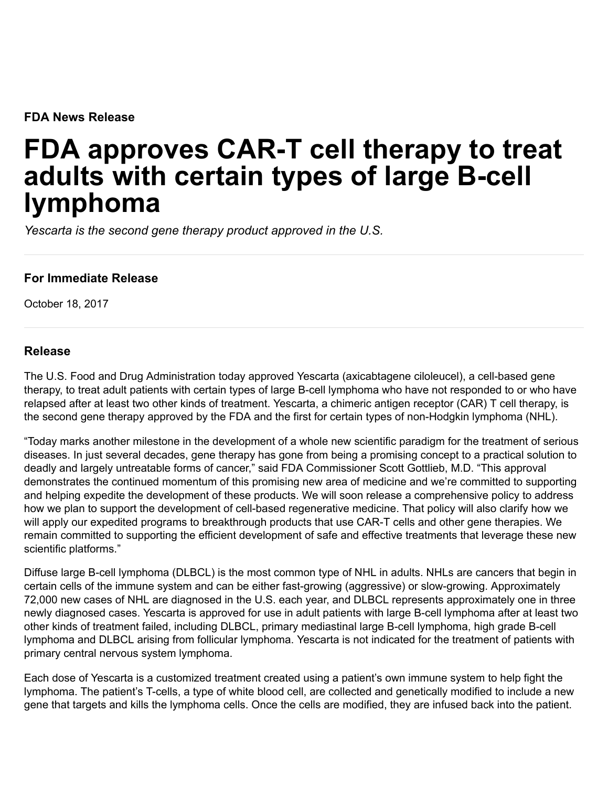FDA News Release

# FDA approves CAR-T cell therapy to treat adults with certain types of large B-cell lymphoma

Yescarta is the second gene therapy product approved in the U.S.

## For Immediate Release

October 18, 2017

### Release

The U.S. Food and Drug Administration today approved Yescarta (axicabtagene ciloleucel), a cell-based gene therapy, to treat adult patients with certain types of large B-cell lymphoma who have not responded to or who have relapsed after at least two other kinds of treatment. Yescarta, a chimeric antigen receptor (CAR) T cell therapy, is the second gene therapy approved by the FDA and the first for certain types of non-Hodgkin lymphoma (NHL).

"Today marks another milestone in the development of a whole new scientific paradigm for the treatment of serious diseases. In just several decades, gene therapy has gone from being a promising concept to a practical solution to deadly and largely untreatable forms of cancer," said FDA Commissioner Scott Gottlieb, M.D. "This approval demonstrates the continued momentum of this promising new area of medicine and we're committed to supporting and helping expedite the development of these products. We will soon release a comprehensive policy to address how we plan to support the development of cell-based regenerative medicine. That policy will also clarify how we will apply our expedited programs to breakthrough products that use CAR-T cells and other gene therapies. We remain committed to supporting the efficient development of safe and effective treatments that leverage these new scientific platforms."

Diffuse large B-cell lymphoma (DLBCL) is the most common type of NHL in adults. NHLs are cancers that begin in certain cells of the immune system and can be either fast-growing (aggressive) or slow-growing. Approximately 72,000 new cases of NHL are diagnosed in the U.S. each year, and DLBCL represents approximately one in three newly diagnosed cases. Yescarta is approved for use in adult patients with large B-cell lymphoma after at least two other kinds of treatment failed, including DLBCL, primary mediastinal large B-cell lymphoma, high grade B-cell lymphoma and DLBCL arising from follicular lymphoma. Yescarta is not indicated for the treatment of patients with primary central nervous system lymphoma.

Each dose of Yescarta is a customized treatment created using a patient's own immune system to help fight the lymphoma. The patient's T-cells, a type of white blood cell, are collected and genetically modified to include a new gene that targets and kills the lymphoma cells. Once the cells are modified, they are infused back into the patient.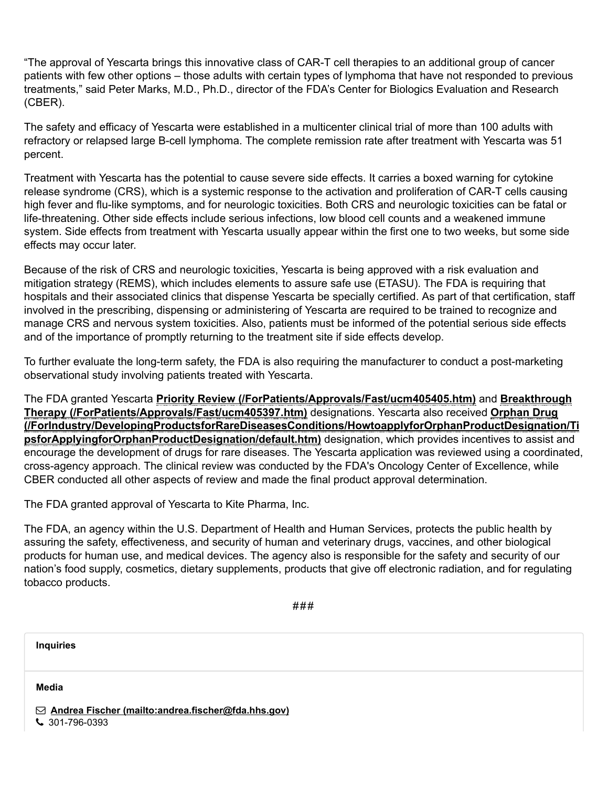"The approval of Yescarta brings this innovative class of CAR-T cell therapies to an additional group of cancer patients with few other options – those adults with certain types of lymphoma that have not responded to previous treatments," said Peter Marks, M.D., Ph.D., director of the FDA's Center for Biologics Evaluation and Research (CBER).

The safety and efficacy of Yescarta were established in a multicenter clinical trial of more than 100 adults with refractory or relapsed large B-cell lymphoma. The complete remission rate after treatment with Yescarta was 51 percent.

Treatment with Yescarta has the potential to cause severe side effects. It carries a boxed warning for cytokine release syndrome (CRS), which is a systemic response to the activation and proliferation of CAR-T cells causing high fever and flu-like symptoms, and for neurologic toxicities. Both CRS and neurologic toxicities can be fatal or life-threatening. Other side effects include serious infections, low blood cell counts and a weakened immune system. Side effects from treatment with Yescarta usually appear within the first one to two weeks, but some side effects may occur later.

Because of the risk of CRS and neurologic toxicities, Yescarta is being approved with a risk evaluation and mitigation strategy (REMS), which includes elements to assure safe use (ETASU). The FDA is requiring that hospitals and their associated clinics that dispense Yescarta be specially certified. As part of that certification, staff involved in the prescribing, dispensing or administering of Yescarta are required to be trained to recognize and manage CRS and nervous system toxicities. Also, patients must be informed of the potential serious side effects and of the importance of promptly returning to the treatment site if side effects develop.

To further evaluate the long-term safety, the FDA is also requiring the manufacturer to conduct a post-marketing observational study involving patients treated with Yescarta.

The FDA granted Yescarta **Priority Review [\(/ForPatients/Approvals/Fast/ucm405405.htm\)](https://www.fda.gov/ForPatients/Approvals/Fast/ucm405405.htm)** and **Breakthrough** Therapy (/ForPatients/Approvals/Fast/ucm405397.htm) designations. Yescarta also received Orphan Drug [\(/ForIndustry/DevelopingProductsforRareDiseasesConditions/HowtoapplyforOrphanProductDesignation/Ti](https://www.fda.gov/ForIndustry/DevelopingProductsforRareDiseasesConditions/HowtoapplyforOrphanProductDesignation/TipsforApplyingforOrphanProductDesignation/default.htm) psforApplyingforOrphanProductDesignation/default.htm) designation, which provides incentives to assist and encourage the development of drugs for rare diseases. The Yescarta application was reviewed using a coordinated, cross-agency approach. The clinical review was conducted by the FDA's Oncology Center of Excellence, while CBER conducted all other aspects of review and made the final product approval determination.

The FDA granted approval of Yescarta to Kite Pharma, Inc.

The FDA, an agency within the U.S. Department of Health and Human Services, protects the public health by assuring the safety, effectiveness, and security of human and veterinary drugs, vaccines, and other biological products for human use, and medical devices. The agency also is responsible for the safety and security of our nation's food supply, cosmetics, dietary supplements, products that give off electronic radiation, and for regulating tobacco products.

###

Inquiries Media  $\boxdot$  Andrea Fischer [\(mailto:andrea.fischer@fda.hhs.gov\)](mailto:andrea.fischer@fda.hhs.gov)  $\text{C}$  301-796-0393